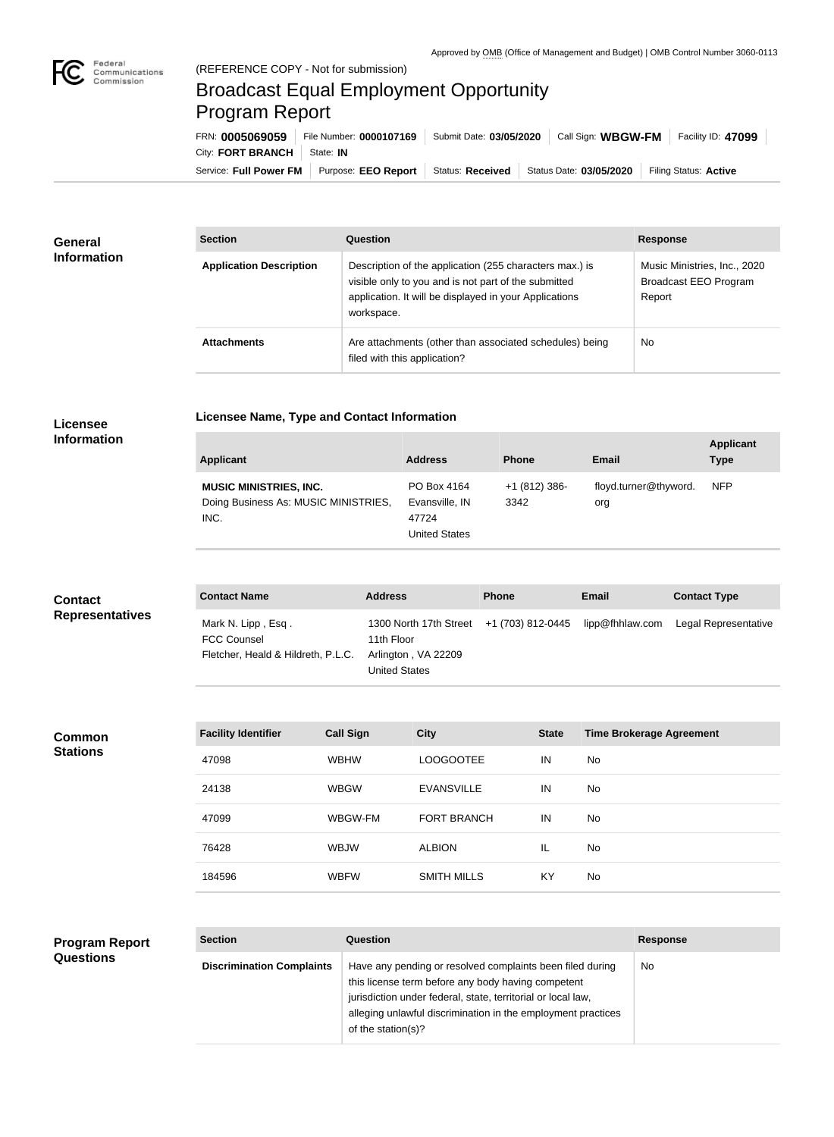

n.

## Broadcast Equal Employment Opportunity Program Report

**Licensee Name, Type and Contact Information**

Service: Full Power FM Purpose: EEO Report | Status: Received | Status Date: 03/05/2020 | Filing Status: Active City: **FORT BRANCH** | State: IN FRN: **0005069059** File Number: **0000107169** Submit Date: **03/05/2020** Call Sign: **WBGW-FM** Facility ID: **47099**

| <b>General</b><br><b>Information</b> | <b>Section</b>                 | Question                                                                                                                                                                                | <b>Response</b>                                                        |
|--------------------------------------|--------------------------------|-----------------------------------------------------------------------------------------------------------------------------------------------------------------------------------------|------------------------------------------------------------------------|
|                                      | <b>Application Description</b> | Description of the application (255 characters max.) is<br>visible only to you and is not part of the submitted<br>application. It will be displayed in your Applications<br>workspace. | Music Ministries, Inc., 2020<br><b>Broadcast EEO Program</b><br>Report |
|                                      | <b>Attachments</b>             | Are attachments (other than associated schedules) being<br>filed with this application?                                                                                                 | <b>No</b>                                                              |

## **Licensee Information**

| <b>Applicant</b>                                                              | <b>Address</b>                                                 | <b>Phone</b>         | Email                        | <b>Applicant</b><br>Type |
|-------------------------------------------------------------------------------|----------------------------------------------------------------|----------------------|------------------------------|--------------------------|
| <b>MUSIC MINISTRIES, INC.</b><br>Doing Business As: MUSIC MINISTRIES,<br>INC. | PO Box 4164<br>Evansville, IN<br>47724<br><b>United States</b> | $+1(812)386$<br>3342 | floyd.turner@thyword.<br>org | <b>NFP</b>               |

| <b>Contact</b><br><b>Representatives</b> | <b>Contact Name</b>                      | <b>Address</b>                                         | <b>Phone</b> | <b>Email</b>    | <b>Contact Type</b>  |
|------------------------------------------|------------------------------------------|--------------------------------------------------------|--------------|-----------------|----------------------|
|                                          | Mark N. Lipp, Esq.<br><b>FCC Counsel</b> | 1300 North 17th Street +1 (703) 812-0445<br>11th Floor |              | lipp@fhhlaw.com | Legal Representative |
|                                          | Fletcher, Heald & Hildreth, P.L.C.       | Arlington, VA 22209                                    |              |                 |                      |
|                                          |                                          | <b>United States</b>                                   |              |                 |                      |

| <b>Facility Identifier</b> | <b>Call Sign</b> | <b>City</b>        | <b>State</b> | <b>Time Brokerage Agreement</b> |
|----------------------------|------------------|--------------------|--------------|---------------------------------|
| 47098                      | <b>WBHW</b>      | LOOGOOTEE          | IN           | No                              |
| 24138                      | <b>WBGW</b>      | <b>EVANSVILLE</b>  | IN           | No                              |
| 47099                      | WBGW-FM          | <b>FORT BRANCH</b> | IN           | No                              |
| 76428                      | <b>WBJW</b>      | <b>ALBION</b>      | IL           | No                              |
| 184596                     | <b>WBFW</b>      | <b>SMITH MILLS</b> | KY           | No                              |

## **Program Report Questions**

**Common Stations**

| <b>Section</b>                   | Question                                                                                                                                                                                                                                                              | <b>Response</b> |
|----------------------------------|-----------------------------------------------------------------------------------------------------------------------------------------------------------------------------------------------------------------------------------------------------------------------|-----------------|
| <b>Discrimination Complaints</b> | Have any pending or resolved complaints been filed during<br>this license term before any body having competent<br>jurisdiction under federal, state, territorial or local law,<br>alleging unlawful discrimination in the employment practices<br>of the station(s)? | No.             |